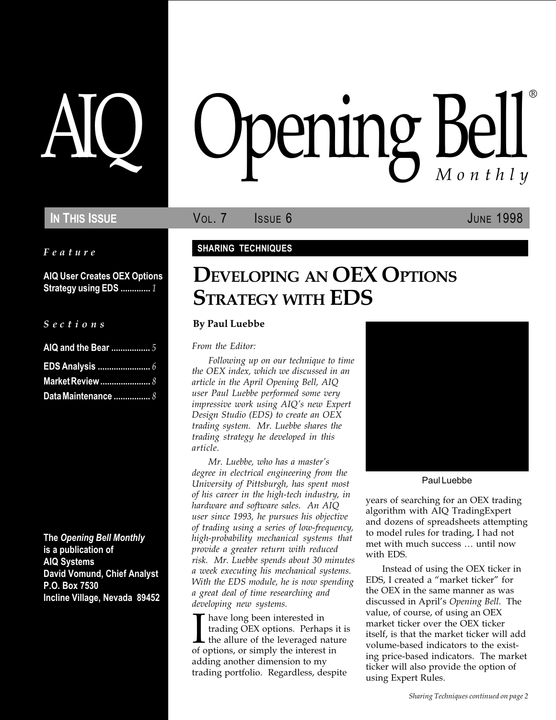### IN THIS ISSUE **VOL. 7** ISSUE 6 JUNE 1998

Feature

AIQ User Creates OEX Options Strategy using EDS .............. 1

|  |  |  | Sections |  |
|--|--|--|----------|--|
|  |  |  |          |  |
|  |  |  |          |  |

| Data Maintenance  8 |  |
|---------------------|--|

The Opening Bell Monthly is a publication of AIQ Systems David Vomund, Chief Analyst P.O. Box 7530 Incline Village, Nevada 89452

# pening Bell ®

#### SHARING TECHNIQUES

# DEVELOPING AN OEX OPTIONS STRATEGY WITH EDS

#### By Paul Luebbe

From the Editor:

Following up on our technique to time the OEX index, which we discussed in an article in the April Opening Bell, AIQ user Paul Luebbe performed some very impressive work using AIQ's new Expert Design Studio (EDS) to create an OEX trading system. Mr. Luebbe shares the trading strategy he developed in this article.

Mr. Luebbe, who has a master's degree in electrical engineering from the University of Pittsburgh, has spent most of his career in the high-tech industry, in hardware and software sales. An AIQ user since 1993, he pursues his objective of trading using a series of low-frequency, high-probability mechanical systems that provide a greater return with reduced risk. Mr. Luebbe spends about 30 minutes a week executing his mechanical systems. With the EDS module, he is now spending a great deal of time researching and developing new systems.

I have long been interested in<br>trading OEX options. Perhaps is<br>the allure of the leveraged nature of options, or simply the interest in have long been interested in trading OEX options. Perhaps it is  $\blacktriangle$  the allure of the leveraged nature adding another dimension to my trading portfolio. Regardless, despite



Paul Luebbe

years of searching for an OEX trading algorithm with AIQ TradingExpert and dozens of spreadsheets attempting to model rules for trading, I had not met with much success ... until now with EDS.

Instead of using the OEX ticker in EDS, I created a "market ticker" for the OEX in the same manner as was discussed in April's Opening Bell. The value, of course, of using an OEX market ticker over the OEX ticker itself, is that the market ticker will add volume-based indicators to the existing price-based indicators. The market ticker will also provide the option of using Expert Rules.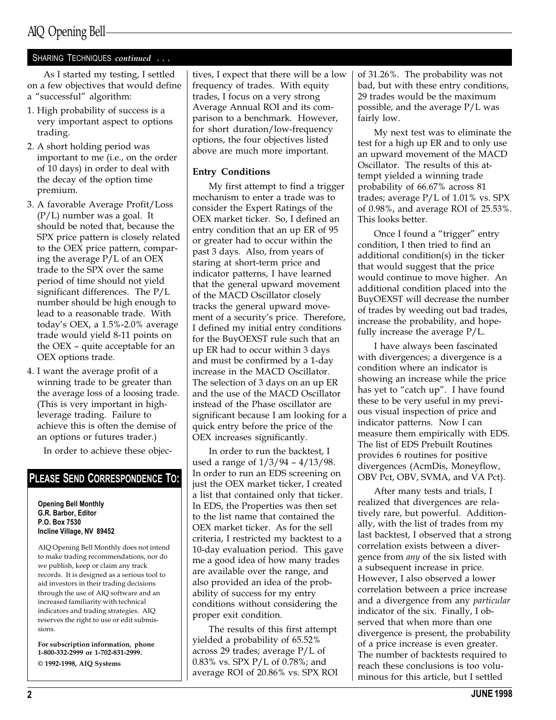## AIQ Opening Bell

#### SHARING TECHNIQUES continued ...

As I started my testing, I settled on a few objectives that would define a "successful" algorithm:

- 1. High probability of success is a very important aspect to options trading.
- 2. A short holding period was important to me (i.e., on the order of 10 days) in order to deal with the decay of the option time premium.
- 3. A favorable Average Profit/Loss  $(P/L)$  number was a goal. It should be noted that, because the SPX price pattern is closely related to the OEX price pattern, comparing the average P/L of an OEX trade to the SPX over the same period of time should not yield significant differences. The P/L number should be high enough to lead to a reasonable trade. With todays OEX, a 1.5%-2.0% average trade would yield 8-11 points on the OEX  $-$  quite acceptable for an OEX options trade.
- 4. I want the average profit of a winning trade to be greater than the average loss of a loosing trade. (This is very important in highleverage trading. Failure to achieve this is often the demise of an options or futures trader.)

In order to achieve these objec-

#### PLEASE SEND CORRESPONDENCE TO:

Opening Bell Monthly G.R. Barbor, Editor P.O. Box 7530 Incline Village, NV 89452

AIQ Opening Bell Monthly does not intend to make trading recommendations, nor do we publish, keep or claim any track records. It is designed as a serious tool to aid investors in their trading decisions through the use of AIQ software and an increased familiarity with technical indicators and trading strategies. AIQ reserves the right to use or edit submissions.

For subscription information, phone 1-800-332-2999 or 1-702-831-2999. © 1992-1998, AIQ Systems

tives, I expect that there will be a low frequency of trades. With equity trades, I focus on a very strong Average Annual ROI and its comparison to a benchmark. However, for short duration/low-frequency options, the four objectives listed above are much more important.

#### Entry Conditions

My first attempt to find a trigger mechanism to enter a trade was to consider the Expert Ratings of the OEX market ticker. So, I defined an entry condition that an up ER of 95 or greater had to occur within the past 3 days. Also, from years of staring at short-term price and indicator patterns, I have learned that the general upward movement of the MACD Oscillator closely tracks the general upward movement of a security's price. Therefore, I defined my initial entry conditions for the BuyOEXST rule such that an up ER had to occur within 3 days and must be confirmed by a 1-day increase in the MACD Oscillator. The selection of 3 days on an up ER and the use of the MACD Oscillator instead of the Phase oscillator are significant because I am looking for a quick entry before the price of the OEX increases significantly.

In order to run the backtest, I used a range of  $1/3/94 - 4/13/98$ . In order to run an EDS screening on just the OEX market ticker, I created a list that contained only that ticker. In EDS, the Properties was then set to the list name that contained the OEX market ticker. As for the sell criteria, I restricted my backtest to a 10-day evaluation period. This gave me a good idea of how many trades are available over the range, and also provided an idea of the probability of success for my entry conditions without considering the proper exit condition.

The results of this first attempt yielded a probability of 65.52% across 29 trades; average P/L of 0.83% vs. SPX P/L of 0.78%; and average ROI of 20.86% vs. SPX ROI of 31.26%. The probability was not bad, but with these entry conditions, 29 trades would be the maximum possible, and the average P/L was fairly low.

My next test was to eliminate the test for a high up ER and to only use an upward movement of the MACD Oscillator. The results of this attempt yielded a winning trade probability of 66.67% across 81 trades; average P/L of 1.01% vs. SPX of 0.98%, and average ROI of 25.53%. This looks better.

Once I found a "trigger" entry condition, I then tried to find an additional condition(s) in the ticker that would suggest that the price would continue to move higher. An additional condition placed into the BuyOEXST will decrease the number of trades by weeding out bad trades, increase the probability, and hopefully increase the average P/L.

I have always been fascinated with divergences; a divergence is a condition where an indicator is showing an increase while the price has yet to "catch up". I have found these to be very useful in my previous visual inspection of price and indicator patterns. Now I can measure them empirically with EDS. The list of EDS Prebuilt Routines provides 6 routines for positive divergences (AcmDis, Moneyflow, OBV Pct, OBV, SVMA, and VA Pct).

After many tests and trials, I realized that divergences are relatively rare, but powerful. Additionally, with the list of trades from my last backtest, I observed that a strong correlation exists between a divergence from any of the six listed with a subsequent increase in price. However, I also observed a lower correlation between a price increase and a divergence from any particular indicator of the six. Finally, I observed that when more than one divergence is present, the probability of a price increase is even greater. The number of backtests required to reach these conclusions is too voluminous for this article, but I settled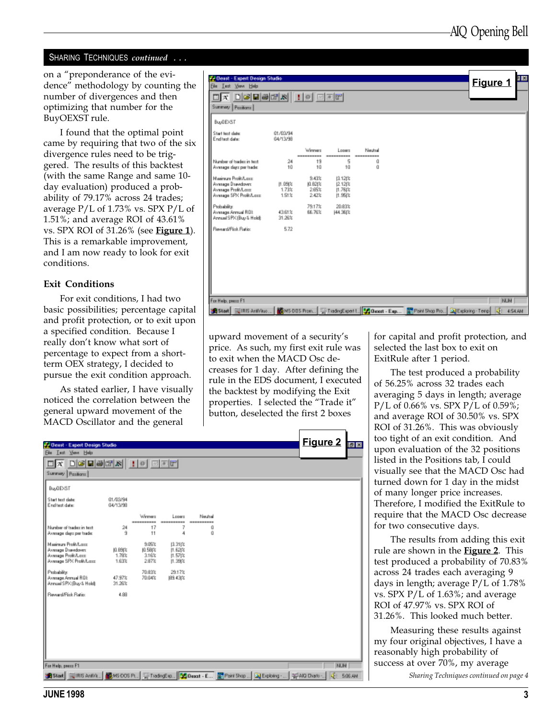#### SHARING TECHNIQUES continued . . .

on a "preponderance of the evidence" methodology by counting the number of divergences and then optimizing that number for the BuyOEXST rule.

I found that the optimal point came by requiring that two of the six divergence rules need to be triggered. The results of this backtest (with the same Range and same 10 day evaluation) produced a probability of 79.17% across 24 trades; average P/L of 1.73% vs. SPX P/L of 1.51%; and average ROI of 43.61% vs. SPX ROI of  $31.26\%$  (see **Figure 1**). This is a remarkable improvement, and I am now ready to look for exit conditions.

#### Exit Conditions

For exit conditions, I had two basic possibilities; percentage capital and profit protection, or to exit upon a specified condition. Because I really don't know what sort of percentage to expect from a shortterm OEX strategy, I decided to pursue the exit condition approach.

As stated earlier, I have visually noticed the correlation between the general upward movement of the MACD Oscillator and the general

| <b>C-Denst - Expert Design Studio</b><br><b>Ele Iest View Help</b>                                                                             |                              |                                     |                                             |                                 |  | Figure 1                      |  |
|------------------------------------------------------------------------------------------------------------------------------------------------|------------------------------|-------------------------------------|---------------------------------------------|---------------------------------|--|-------------------------------|--|
| 미치<br>Summary Pazitions                                                                                                                        |                              |                                     |                                             |                                 |  |                               |  |
| <b>BuyDEXST</b>                                                                                                                                |                              |                                     |                                             |                                 |  |                               |  |
| Start text date:<br>End test date:                                                                                                             | 01/03/94<br>04/13/98         |                                     |                                             |                                 |  |                               |  |
| Number of trader in text.<br>Average days per trade:                                                                                           | 24<br>10                     | Winner<br>----------<br>19<br>10    | Longro<br>----------<br>5<br>10             | Neutral<br>----------<br>ű<br>ũ |  |                               |  |
| Maginum Profit/Long<br>Average Drawdown<br>Average Profit/Lass<br>Average SPX Profit/Lass:                                                     | $[1.09]$ %<br>1.73%<br>1.51% | 9.43%<br>JOL B21%<br>2.65%<br>2.42% | 11121%<br>12.128%<br>11.761%<br>$11.95$ $%$ |                                 |  |                               |  |
| Probability:<br>Avenage Armual ROE<br>Annual SPK (Buy & Hold):                                                                                 | 43.61%<br>31,26%             | 79.17%<br>66.76%                    | 20.83%<br>J44.36(%)                         |                                 |  |                               |  |
| Reveald Fisk Ratio                                                                                                                             | 5.72                         |                                     |                                             |                                 |  |                               |  |
|                                                                                                                                                |                              |                                     |                                             |                                 |  |                               |  |
|                                                                                                                                                |                              |                                     |                                             |                                 |  |                               |  |
| For Help, peace F1<br>UIRIS AntiQuo 图NS-DOS Pron [2] TradingExpert 1. DC Diseast - Exp 图 Paint Shop Pro [2] Exploring-Temp<br><b>Bel Start</b> |                              |                                     |                                             |                                 |  | <b>NUM</b><br><b>JF 454AN</b> |  |

upward movement of a security's price. As such, my first exit rule was to exit when the MACD Osc decreases for 1 day. After defining the rule in the EDS document, I executed the backtest by modifying the Exit properties. I selected the "Trade it" button, deselected the first 2 boxes

for capital and profit protection, and selected the last box to exit on ExitRule after 1 period.

The test produced a probability of 56.25% across 32 trades each averaging 5 days in length; average P/L of 0.66% vs. SPX P/L of 0.59%; and average ROI of 30.50% vs. SPX ROI of 31.26%. This was obviously too tight of an exit condition. And upon evaluation of the 32 positions listed in the Positions tab, I could visually see that the MACD Osc had turned down for 1 day in the midst of many longer price increases. Therefore, I modified the ExitRule to require that the MACD Osc decrease for two consecutive days.

The results from adding this exit rule are shown in the **Figure 2**. This test produced a probability of 70.83% across 24 trades each averaging 9 days in length; average P/L of 1.78% vs. SPX P/L of 1.63%; and average ROI of 47.97% vs. SPX ROI of 31.26%. This looked much better.

Sharing Techniques continued on page 4 Measuring these results against my four original objectives, I have a reasonably high probability of success at over 70%, my average

| <b>Const - Expert Design Studio</b>                                                                                         |                            |                                    |                                       |                       |  | <b>Figure 2</b> | $ e $ x |
|-----------------------------------------------------------------------------------------------------------------------------|----------------------------|------------------------------------|---------------------------------------|-----------------------|--|-----------------|---------|
| Ele Lest Yown Help<br>미ォ                                                                                                    |                            |                                    |                                       |                       |  |                 |         |
| <u>deers : 0 dee</u><br>Summey Pazitions                                                                                    |                            |                                    |                                       |                       |  |                 |         |
| BuyDEXST                                                                                                                    |                            |                                    |                                       |                       |  |                 |         |
| Start text date:<br>End test date:                                                                                          | 01/03/94<br>04/13/98       |                                    |                                       |                       |  |                 |         |
|                                                                                                                             |                            | Weener<br>----------               | Looms<br>----------                   | Neutral<br>---------- |  |                 |         |
| Number of tradec in text.<br>Average days per trade:                                                                        | 24<br>9                    | 17<br>11                           | 4                                     | ű<br>ű                |  |                 |         |
| Maginum Profit/Long<br>Avenage Drawdown:<br>Average Profit/Lass<br>Average SPX Profit/Lass                                  | JO. BS(%<br>1.78%<br>1.63% | 9.05%<br>10.581%<br>3.16%<br>2.87% | 性別体<br>11.621%<br>11.571x<br>11.39(2) |                       |  |                 |         |
| Probability:<br>Avenage Armual ROL<br>Annual SPK (Buy & Hold):                                                              | 47.97%<br>31,26%           | 70.83%<br>70.04%                   | 29.17%<br>89.43(%)                    |                       |  |                 |         |
| Reward/Pick Ratio:                                                                                                          | 4.88                       |                                    |                                       |                       |  |                 |         |
|                                                                                                                             |                            |                                    |                                       |                       |  |                 |         |
|                                                                                                                             |                            |                                    |                                       |                       |  |                 |         |
| For Help, peace F1                                                                                                          |                            |                                    |                                       |                       |  | <b>NUM</b>      |         |
| 通Start   司用S Ant/A.,   鼹VSOOS Pt.,   雪TiadingEip.,   <mark>이</mark> Desat - E   물 Paint Shop   그만 phoing -    멀 AID Diatio- |                            |                                    |                                       |                       |  | <b>JE 506AN</b> |         |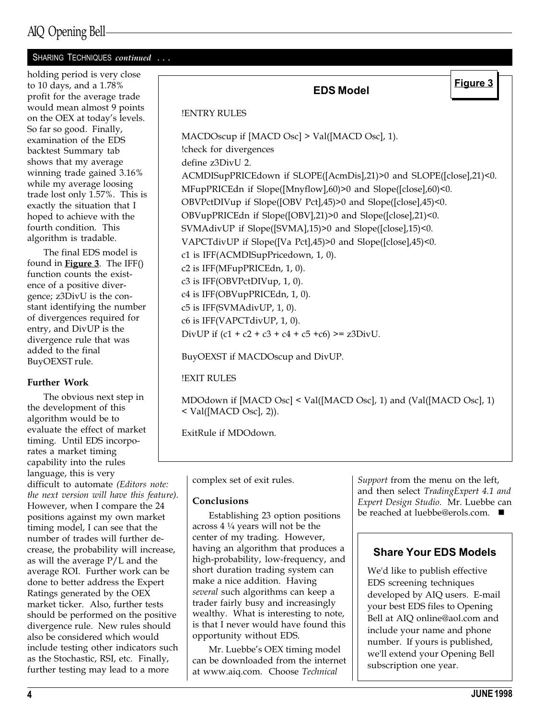#### SHARING TECHNIQUES continued . . .

holding period is very close to 10 days, and a 1.78% profit for the average trade would mean almost 9 points on the OEX at today's levels. So far so good. Finally, examination of the EDS backtest Summary tab shows that my average winning trade gained 3.16% while my average loosing trade lost only 1.57%. This is exactly the situation that I hoped to achieve with the fourth condition. This algorithm is tradable.

The final EDS model is found in **Figure 3**. The IFF $()$ function counts the existence of a positive divergence; z3DivU is the constant identifying the number of divergences required for entry, and DivUP is the divergence rule that was added to the final BuyOEXST rule.

#### Further Work

The obvious next step in the development of this algorithm would be to evaluate the effect of market timing. Until EDS incorporates a market timing capability into the rules language, this is very difficult to automate (Editors note: the next version will have this feature). However, when I compare the 24 positions against my own market timing model, I can see that the number of trades will further decrease, the probability will increase, as will the average P/L and the average ROI. Further work can be done to better address the Expert Ratings generated by the OEX market ticker. Also, further tests should be performed on the positive divergence rule. New rules should also be considered which would include testing other indicators such as the Stochastic, RSI, etc. Finally, further testing may lead to a more

## EDS Model !ENTRY RULES MACDOscup if [MACD Osc] > Val([MACD Osc], 1). !check for divergences define z3DivU 2. ACMDISupPRICEdown if SLOPE([AcmDis],21)>0 and SLOPE([close],21)<0. MFupPRICEdn if Slope([Mnyflow],60)>0 and Slope([close],60)<0. OBVPctDIVup if Slope([OBV Pct],45)>0 and Slope([close],45)<0. OBVupPRICEdn if Slope([OBV],21)>0 and Slope([close],21)<0. SVMAdivUP if Slope([SVMA],15)>0 and Slope([close],15)<0. VAPCTdivUP if Slope([Va Pct],45)>0 and Slope([close],45)<0. c1 is IFF(ACMDISupPricedown, 1, 0). c2 is IFF(MFupPRICEdn, 1, 0). c3 is IFF(OBVPctDIVup, 1, 0). c4 is IFF(OBVupPRICEdn, 1, 0). c5 is IFF(SVMAdivUP, 1, 0). c6 is IFF(VAPCTdivUP, 1, 0). DivUP if  $(c1 + c2 + c3 + c4 + c5 +c6)$  >= z3DivU. BuyOEXST if MACDOscup and DivUP. Figure 3

!EXIT RULES

MDOdown if [MACD Osc] < Val([MACD Osc], 1) and (Val([MACD Osc], 1)  $\langle$  Val([MACD Osc], 2)).

ExitRule if MDOdown.

complex set of exit rules.

#### Conclusions

Establishing 23 option positions across 4 ¼ years will not be the center of my trading. However, having an algorithm that produces a high-probability, low-frequency, and short duration trading system can make a nice addition. Having several such algorithms can keep a trader fairly busy and increasingly wealthy. What is interesting to note, is that I never would have found this opportunity without EDS.

Mr. Luebbe's OEX timing model can be downloaded from the internet at www.aiq.com. Choose Technical

Support from the menu on the left, and then select TradingExpert 4.1 and Expert Design Studio. Mr. Luebbe can be reached at luebbe@erols.com. ■

#### Share Your EDS Models

We'd like to publish effective EDS screening techniques developed by AIQ users. E-mail your best EDS files to Opening Bell at AIQ online@aol.com and include your name and phone number. If yours is published, we'll extend your Opening Bell subscription one year.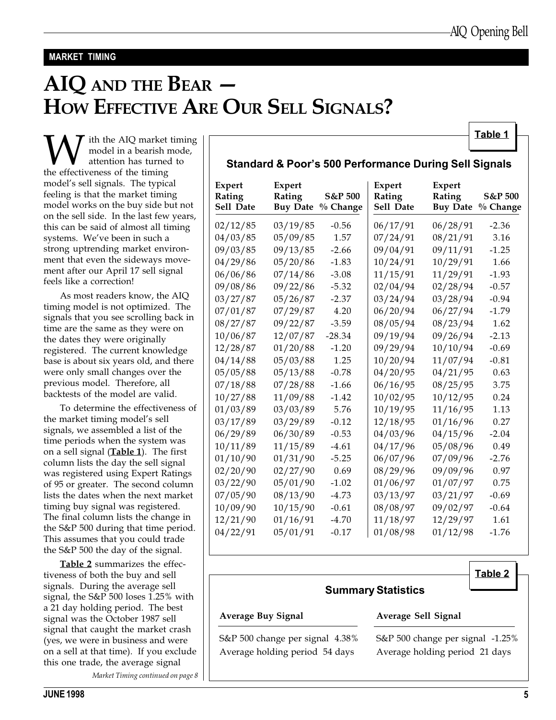#### MARKET TIMING

# AIQ AND THE BEAR HOW EFFECTIVE ARE OUR SELL SIGNALS?

 $\begin{tabular}{c|c|c} \hline \textbf{W} & \textbf{ith the AIQ market timing} & \textbf{Table 1} \\ \textbf{model in a bearish mode,} & \textbf{Standard & \textbf{Poor's 500 Performance During Sell Signals} \\ \textbf{the effectiveness of the timing} & \textbf{Standard & \textbf{Poor's 500 Performance During Sell Signals} \\ \hline \end{tabular}$ model in a bearish mode, attention has turned to the effectiveness of the timing model's sell signals. The typical feeling is that the market timing model works on the buy side but not on the sell side. In the last few years, this can be said of almost all timing systems. We've been in such a strong uptrending market environment that even the sideways movement after our April 17 sell signal feels like a correction!

As most readers know, the AIQ timing model is not optimized. The signals that you see scrolling back in time are the same as they were on the dates they were originally registered. The current knowledge base is about six years old, and there were only small changes over the previous model. Therefore, all backtests of the model are valid.

To determine the effectiveness of the market timing model's sell signals, we assembled a list of the time periods when the system was on a sell signal  $(Table 1)$ . The first column lists the day the sell signal was registered using Expert Ratings of 95 or greater. The second column lists the dates when the next market timing buy signal was registered. The final column lists the change in the S&P 500 during that time period. This assumes that you could trade the S&P 500 the day of the signal.

Table 2 summarizes the effectiveness of both the buy and sell signals. During the average sell signal, the S&P 500 loses 1.25% with a 21 day holding period. The best signal was the October 1987 sell signal that caught the market crash (yes, we were in business and were on a sell at that time). If you exclude this one trade, the average signal

Market Timing continued on page 8

| Expert<br>Rating<br>Sell Date | Expert<br>Rating<br><b>Buy Date</b> | S&P 500<br>% Change | Expert<br>Rating<br>Sell Date | Expert<br>Rating | S&P 500<br>Buy Date % Change |
|-------------------------------|-------------------------------------|---------------------|-------------------------------|------------------|------------------------------|
| 02/12/85                      | 03/19/85                            | $-0.56$             | 06/17/91                      | 06/28/91         | $-2.36$                      |
| 04/03/85                      | 05/09/85                            | 1.57                | 07/24/91                      | 08/21/91         | 3.16                         |
| 09/03/85                      | 09/13/85                            | $-2.66$             | 09/04/91                      | 09/11/91         | $-1.25$                      |
| 04/29/86                      | 05/20/86                            | $-1.83$             | 10/24/91                      | 10/29/91         | 1.66                         |
| 06/06/86                      | 07/14/86                            | $-3.08$             | 11/15/91                      | 11/29/91         | $-1.93$                      |
| 09/08/86                      | 09/22/86                            | $-5.32$             | 02/04/94                      | 02/28/94         | $-0.57$                      |
| 03/27/87                      | 05/26/87                            | $-2.37$             | 03/24/94                      | 03/28/94         | $-0.94$                      |
| 07/01/87                      | 07/29/87                            | 4.20                | 06/20/94                      | 06/27/94         | $-1.79$                      |
| 08/27/87                      | 09/22/87                            | $-3.59$             | 08/05/94                      | 08/23/94         | 1.62                         |
| 10/06/87                      | 12/07/87                            | $-28.34$            | 09/19/94                      | 09/26/94         | $-2.13$                      |
| 12/28/87                      | 01/20/88                            | $-1.20$             | 09/29/94                      | 10/10/94         | $-0.69$                      |
| 04/14/88                      | 05/03/88                            | 1.25                | 10/20/94                      | 11/07/94         | $-0.81$                      |
| 05/05/88                      | 05/13/88                            | $-0.78$             | 04/20/95                      | 04/21/95         | 0.63                         |
| 07/18/88                      | 07/28/88                            | $-1.66$             | 06/16/95                      | 08/25/95         | 3.75                         |
| 10/27/88                      | 11/09/88                            | $-1.42$             | 10/02/95                      | 10/12/95         | 0.24                         |
| 01/03/89                      | 03/03/89                            | 5.76                | 10/19/95                      | 11/16/95         | 1.13                         |
| 03/17/89                      | 03/29/89                            | $-0.12$             | 12/18/95                      | 01/16/96         | 0.27                         |
| 06/29/89                      | 06/30/89                            | $-0.53$             | 04/03/96                      | 04/15/96         | $-2.04$                      |
| 10/11/89                      | 11/15/89                            | $-4.61$             | 04/17/96                      | 05/08/96         | 0.49                         |
| 01/10/90                      | 01/31/90                            | $-5.25$             | 06/07/96                      | 07/09/96         | $-2.76$                      |
| 02/20/90                      | 02/27/90                            | 0.69                | 08/29/96                      | 09/09/96         | 0.97                         |
| 03/22/90                      | 05/01/90                            | $-1.02$             | 01/06/97                      | 01/07/97         | 0.75                         |
| 07/05/90                      | 08/13/90                            | $-4.73$             | 03/13/97                      | 03/21/97         | $-0.69$                      |
| 10/09/90                      | 10/15/90                            | $-0.61$             | 08/08/97                      | 09/02/97         | $-0.64$                      |
| 12/21/90                      | 01/16/91                            | $-4.70$             | 11/18/97                      | 12/29/97         | 1.61                         |
| 04/22/91                      | 05/01/91                            | $-0.17$             | 01/08/98                      | 01/12/98         | $-1.76$                      |

#### Table 2

#### Summary Statistics

#### Average Buy Signal Average Sell Signal

S&P 500 change per signal 4.38% S&P 500 change per signal -1.25% Average holding period 54 days Average holding period 21 days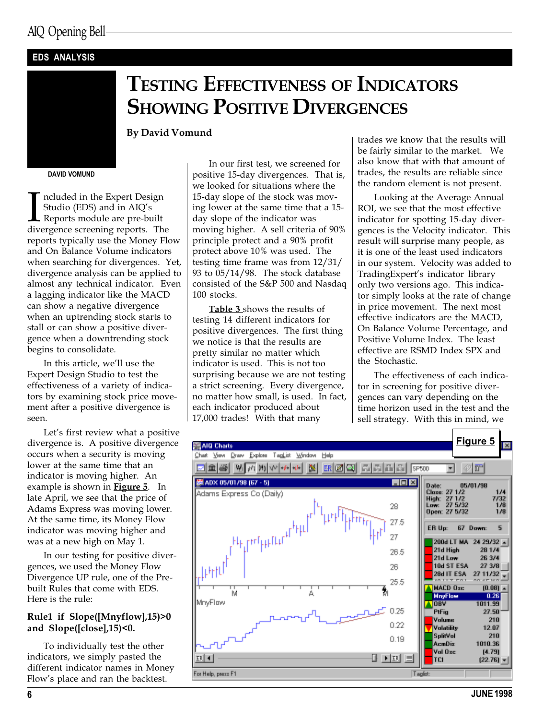#### EDS ANALYSIS

## TESTING EFFECTIVENESS OF INDICATORS **SHOWING POSITIVE DIVERGENCES**

#### By David Vomund

#### DAVID VOMUND

Included in the Expert Design<br>Studio (EDS) and in AIQ's<br>Reports module are pre-built<br>divergence screening reports. The ncluded in the Expert Design Studio (EDS) and in  $AIQ's$ Reports module are pre-built reports typically use the Money Flow and On Balance Volume indicators when searching for divergences. Yet, divergence analysis can be applied to almost any technical indicator. Even a lagging indicator like the MACD can show a negative divergence when an uptrending stock starts to stall or can show a positive divergence when a downtrending stock begins to consolidate.

In this article, we'll use the Expert Design Studio to test the effectiveness of a variety of indicators by examining stock price movement after a positive divergence is seen.

Let's first review what a positive divergence is. A positive divergence occurs when a security is moving lower at the same time that an indicator is moving higher. An example is shown in **Figure 5**. In late April, we see that the price of Adams Express was moving lower. At the same time, its Money Flow indicator was moving higher and was at a new high on May 1.

In our testing for positive divergences, we used the Money Flow Divergence UP rule, one of the Prebuilt Rules that come with EDS. Here is the rule:

#### Rule1 if Slope([Mnyflow],15)>0 and Slope([close],15)<0.

To individually test the other indicators, we simply pasted the different indicator names in Money Flow's place and ran the backtest.

In our first test, we screened for positive 15-day divergences. That is, we looked for situations where the 15-day slope of the stock was moving lower at the same time that a 15 day slope of the indicator was moving higher. A sell criteria of 90% principle protect and a 90% profit protect above 10% was used. The testing time frame was from 12/31/ 93 to 05/14/98. The stock database consisted of the S&P 500 and Nasdaq 100 stocks.

Table 3 shows the results of testing 14 different indicators for positive divergences. The first thing we notice is that the results are pretty similar no matter which indicator is used. This is not too surprising because we are not testing a strict screening. Every divergence, no matter how small, is used. In fact, each indicator produced about 17,000 trades! With that many

trades we know that the results will be fairly similar to the market. We also know that with that amount of trades, the results are reliable since the random element is not present.

Looking at the Average Annual ROI, we see that the most effective indicator for spotting 15-day divergences is the Velocity indicator. This result will surprise many people, as it is one of the least used indicators in our system. Velocity was added to TradingExpert's indicator library only two versions ago. This indicator simply looks at the rate of change in price movement. The next most effective indicators are the MACD, On Balance Volume Percentage, and Positive Volume Index. The least effective are RSMD Index SPX and the Stochastic.

The effectiveness of each indicator in screening for positive divergences can vary depending on the time horizon used in the test and the sell strategy. With this in mind, we

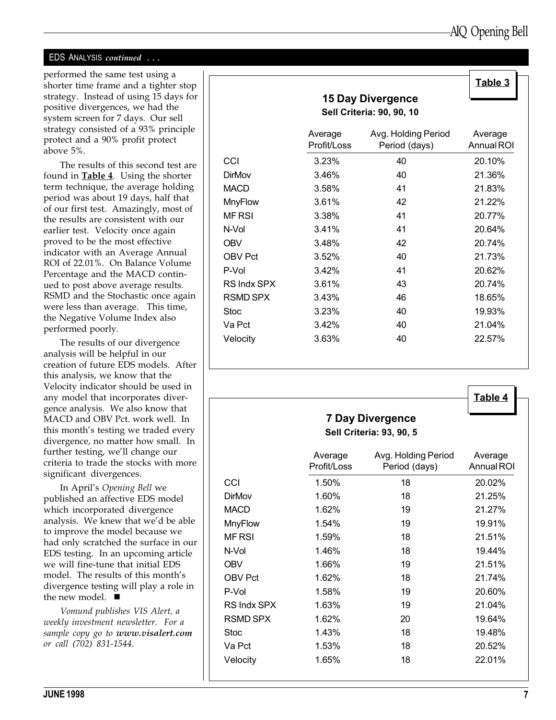#### EDS ANALYSIS continued . . .

performed the same test using a shorter time frame and a tighter stop strategy. Instead of using 15 days for positive divergences, we had the system screen for 7 days. Our sell strategy consisted of a 93% principle protect and a 90% profit protect above 5%.

The results of this second test are found in **Table 4**. Using the shorter term technique, the average holding period was about 19 days, half that of our first test. Amazingly, most of the results are consistent with our earlier test. Velocity once again proved to be the most effective indicator with an Average Annual ROI of 22.01%. On Balance Volume Percentage and the MACD continued to post above average results. RSMD and the Stochastic once again were less than average. This time, the Negative Volume Index also performed poorly.

The results of our divergence analysis will be helpful in our creation of future EDS models. After this analysis, we know that the Velocity indicator should be used in any model that incorporates divergence analysis. We also know that MACD and OBV Pct. work well. In this month's testing we traded every divergence, no matter how small. In further testing, we'll change our criteria to trade the stocks with more significant divergences.

In April's Opening Bell we published an affective EDS model which incorporated divergence analysis. We knew that we'd be able to improve the model because we had only scratched the surface in our EDS testing. In an upcoming article we will fine-tune that initial EDS model. The results of this month's divergence testing will play a role in the new model.  $\blacksquare$ 

Vomund publishes VIS Alert, a weekly investment newsletter. For a sample copy go to www.visalert.com or call (702) 831-1544.

|                 |                                  |                                      | Table 3 |  |  |  |  |  |  |
|-----------------|----------------------------------|--------------------------------------|---------|--|--|--|--|--|--|
|                 |                                  |                                      |         |  |  |  |  |  |  |
|                 | <b>Sell Criteria: 90, 90, 10</b> |                                      |         |  |  |  |  |  |  |
|                 | Average<br>Profit/Loss           | Avg. Holding Period<br>Period (days) |         |  |  |  |  |  |  |
| CCI             | 3.23%                            | 40                                   | 20.10%  |  |  |  |  |  |  |
| <b>DirMov</b>   | 3.46%                            | 40                                   | 21.36%  |  |  |  |  |  |  |
| <b>MACD</b>     | 3.58%                            | 41                                   | 21.83%  |  |  |  |  |  |  |
| <b>MnyFlow</b>  | 3.61%                            | 42                                   | 21.22%  |  |  |  |  |  |  |
| <b>MFRSI</b>    | 3.38%                            | 41                                   | 20.77%  |  |  |  |  |  |  |
| N-Vol           | 3.41%                            | 41                                   | 20.64%  |  |  |  |  |  |  |
| <b>OBV</b>      | 3.48%                            | 42                                   | 20.74%  |  |  |  |  |  |  |
| <b>OBV Pct</b>  | 3.52%                            | 40                                   | 21.73%  |  |  |  |  |  |  |
| P-Vol           | 3.42%                            | 41                                   | 20.62%  |  |  |  |  |  |  |
| RS Indx SPX     | 3.61%                            | 43                                   | 20.74%  |  |  |  |  |  |  |
| <b>RSMD SPX</b> | 3.43%                            | 46                                   | 18.65%  |  |  |  |  |  |  |
| <b>Stoc</b>     | 3.23%                            | 40                                   | 19.93%  |  |  |  |  |  |  |
| Va Pct          | 3.42%                            | 40                                   | 21.04%  |  |  |  |  |  |  |
| Velocity        | 3.63%                            | 40                                   | 22.57%  |  |  |  |  |  |  |

|                | <b>7 Day Divergence</b><br><b>Sell Criteria: 93, 90, 5</b> |                                      |                       |  |  |  |  |
|----------------|------------------------------------------------------------|--------------------------------------|-----------------------|--|--|--|--|
|                | Average<br>Profit/Loss                                     | Avg. Holding Period<br>Period (days) | Average<br>Annual ROI |  |  |  |  |
| CCI            | 1.50%                                                      | 18                                   | 20.02%                |  |  |  |  |
| <b>DirMov</b>  | 1.60%                                                      | 18                                   | 21.25%                |  |  |  |  |
| <b>MACD</b>    | 1.62%                                                      | 19                                   | 21.27%                |  |  |  |  |
| <b>MnyFlow</b> | 1.54%                                                      | 19                                   | 19.91%                |  |  |  |  |
| <b>MF RSI</b>  | 1.59%                                                      | 18                                   | 21.51%                |  |  |  |  |

N-Vol 1.46% 18 19.44% OBV 1.66% 19 21.51% OBV Pct 1.62% 18 21.74% P-Vol 1.58% 19 20.60% RS Indx SPX 1.63% 19 21.04% RSMD SPX 1.62% 20 19.64% Stoc 1.43% 18 19.48% Va Pct 1.53% 18 20.52% Velocity 1.65% 18 22.01%